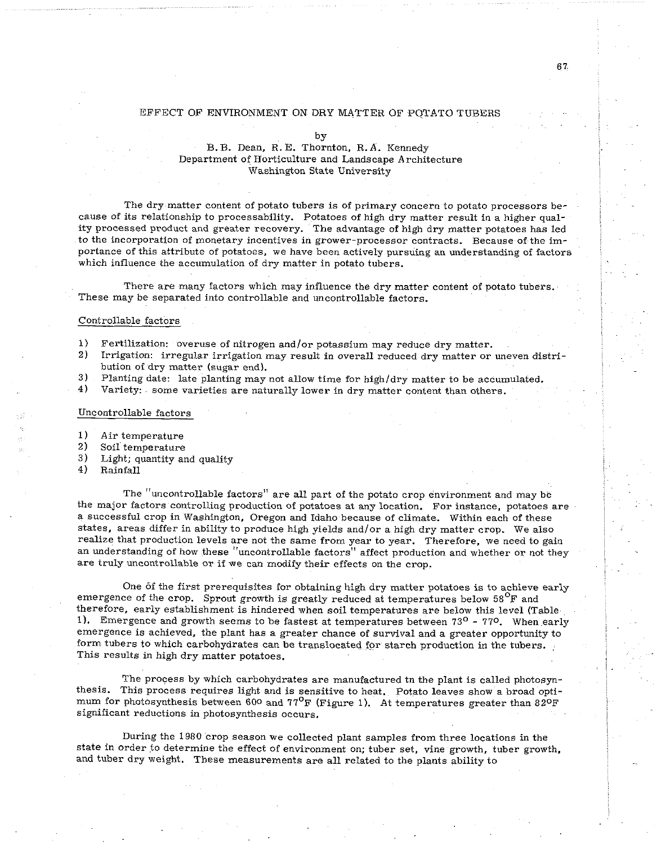#### EFFECT OF ENVIRONMENT ON DRY MATTER OF POTATO TUBERS

by

### B.B. Dean, R. E. Thornton, R.A. Kennedy Department of Horticulture and Landscape Architecture Washington State University

The dry matter content of potato tubers is of primary concern to potato processors because of its relationship to processability. Potatoes of high dry matter result in a higher quality processed product and greater recovery. The advantage of high dry matter potatoes has led to the incorporation of monetary incentives in grower-processor contracts. Because of the importance of this attribute of potatoes, we have been actively pursuing an understanding of factors which influence the accumulation of dry matter in potato tubers.

There are many factors which may influence the dry matter content of potato tubers. These may be separated into controllable and uncontrollable factors.

#### Controllable factors

- 1) Fertilization: overuse of nitrogen and/or potassium may reduce dry matter.
- 2) Irrigation: irregular irrigation may result in overall reduced dry matter or uneven distribution of dry matter (sugar end).
- 3) Planting date: late planting may not allow time for high/dry matter to be accumulated.
- **4)** Variety: some varieties are naturally lower in dry matter content than others.

#### Uncontrollable factors

- **1)** Air temperature
- 2) Soil temperature<br>3) Light: quantity are
- 3) Light; quantity and quality  $4$ ) Rainfall
- 4) Rainfall

The "uncontrollable factors" are all part of the potato crop environment and may be the major factors controlling production of potatoes at any location. For instance, potatoes are a successful crop in Washington, Oregon and Idaho because of climate. Within each of these states, areas differ in ability to produce high yields and/or a high dry matter crop. We also realize that production levels are not the same from year to year. Therefore, we need to gain an understanding of how these "uncontrollable factors'' affect production and whether or not they are truly uncontrollable or if we can modify their effects on the crop.

One of the first prerequisites for obtaining high dry matter potatoes is to achieve early emergence of the crop. Sprout growth is greatly reduced at temperatures below  $58^{\circ}$ F and therefore, early establishment is hindered when soil temperatures are below this level (Table 1). Emergence and growth seems to be fastest at temperatures between  $73^{\circ}$  -  $77^{\circ}$ . When early emergence is achieved, the plant has a greater chance of survival and a greater opportunity to form tubers to which carbohydrates can be translocated for starch production in the tubers. This results in high dry matter potatoes.

The process by which carbohydrates are manufactured tn the plant is called photosynthesis. This process requires light and is sensitive to heat. Potato leaves show a broad optimum for photosynthesis between 600 and  $77^{\circ}$ F (Figure 1). At temperatures greater than 82°F significant reductions in photosynthesis occurs.

During the 1980 crop season we collected plant samples from three locations in the state in order to determine the effect of environment on; tuber set, vine growth, tuber growth, and tuber dry weight. These measurements are all related to the plants ability to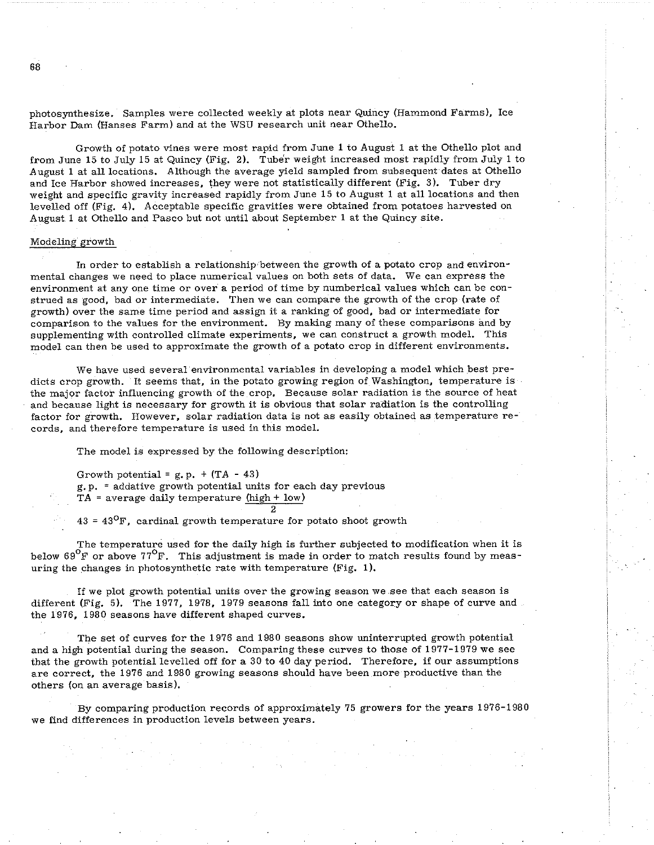photosynthesize. Samples were collected weekly at plots near Quincy (Hammond Farms), Ice Harbor Dam (Hanses Farm) and at the WSU research unit near Othello.

Growth of potato vines were most rapid from June 1 to August 1 at the Othello plot and from June 15 to July 15 at Quincy (Fig. 2). Tuber weight increased most rapidly from July 1 to August 1 at all locations. Although the average yield sampled from subsequent dates at Othello and Ice Harbor showed increases, they were not statistically different (Fig. 3). Tuber dry weight and specific gravity increased rapidly from June 15 to August 1 at all locations and then levelled off (Fig. 4). Acceptable specific gravities were obtained from potatoes harvested on August 1 at Othello and Pasco but not until about September 1 at the Quincy site.

#### Modeling growth

In order to establish a relationship between the growth of a potato crop and environmental changes we need to place numerical values on both sets of data. We can express the environment at any one time or over a period of time by numberical values which can be construed as good, bad or intermediate. Then we can compare the growth of the crop (rate of growth) over the same time period and assign it a ranking of good, bad or intermediate for comparison to the values for the environment. By making many of these comparisons and by supplementing with controlled climate experiments, we can construct a growth model. This model can then he used to approximate the growth of a potato crop in different environments.

We have used several environmental variables in developing a model which best predicts crop growth. It seems that, in the potato growing region of Washington, temperature is the major factor influencing growth of the crop. Because solar radiation is the source of heat and because light is necessary for growth it is obvious that solar radiation is the controlling factor for growth. However, solar radiation data is not as easily obtained as temperature records, and therefore temperature is used in this model.

The model is expressed by the following description:

Growth potential =  $g.p. + (TA - 43)$ g. p. = addative growth potential units for each day previous  $TA = average daily temperature (high + low)$ 

 $43 = 43^{\circ}$ F, cardinal growth temperature for potato shoot growth

The temperature used for the daily high is further subjected to modification when it is below  $69^{\circ}$ F or above 77<sup>o</sup>F. This adjustment is made in order to match results found by measuring the changes in photosynthetic rate with temperature (Fig. 1).

2

If we plot growth potential units over the growing season we see that each season is different (Fig. 5). The 1977, 1978, 1979 seasons fall into one category or shape of curve and the 1976, 1980 seasons have different shaped curves.

The set of curves for the 1976 and 1980 seasons show uninterrupted growth potential and a high potential during the season. Comparing these curves to those of 1977-1979 we see that the growth potential levelled off for a 30 to 40 day period. Therefore, if our assumptions are correct, the 1976 and 1980 growing seasons should have been more productive than the others (on an average basis).

By comparing production records of approximately 75 growers for the years 1976-1980 we find differences in production levels between years.

 $68$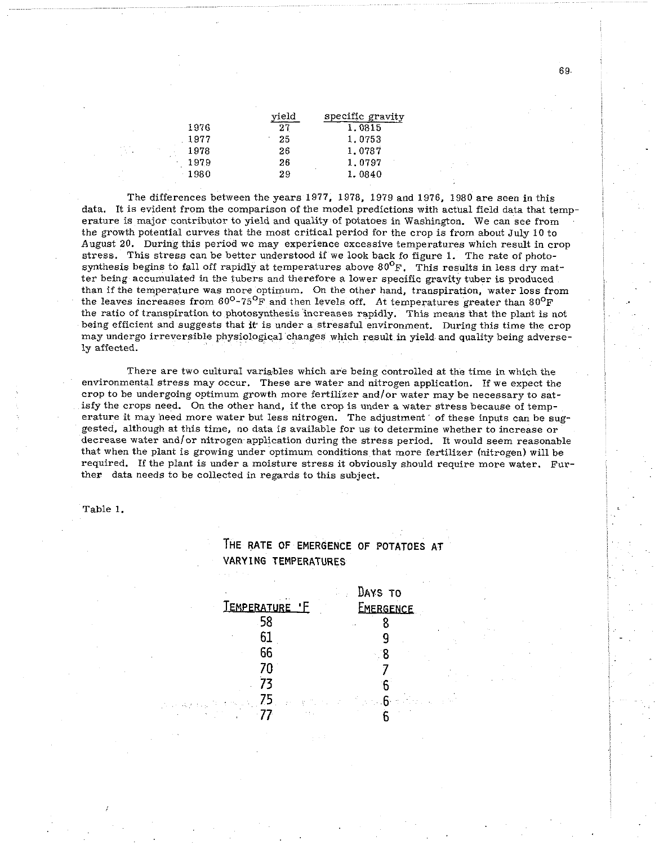|         | vield | specific gravity |
|---------|-------|------------------|
| 1976    | 27    | 1.0815           |
| 1977    | 25    | 1.0753           |
| 1978    | 26    | 1.0787           |
| 1979    | 26    | 1.0797           |
| $-1980$ | 29    | 1.0840           |
|         |       |                  |

The differences between the years 1977, 1978, 1979 and 1976, 1980 are seen in this data. It is evident from the comparison of the model predictions with actual field data that temperature is major contributor to yield and quality of potatoes in Washington. We can see from the growth potential curves that the most critical period for the crop is from about July 10 to August 20. During this period we may experience excessive temperatures which result in crop stress. This stress can be better understood if we look back fo figure 1. The rate of photosynthesis begins to fall off rapidly at temperatures above  $80^{\circ}$ F. This results in less dry matter being accumulated in the tubers and therefore a lower specific gravity tuber is produced than if the temperature was more optimum. On the other hand, trauspiration, water loss from the leaves increases from  $60^{\circ}$ -75<sup>0</sup>F and then levels off. At temperatures greater than  $80^{\circ}$ F the ratio of transpiration to photosynthesis increases rapidly. This means that the plant is not being efficient and suggests that it is under a stressful environment. During this time the crop may undergo irreversible physiological changes which result in yield and quality being adversely affected.

There are two cultural variables which are being controlled at the time in which the environmental stress may occur. These are water and nitrogen application. If we expect the crop to be undergoing optimum growth more fertilizer and/or water may be necessary to satisfy the crops need. On the other hand, if the crop is under a water stress because of temperature it may need more water but less nitrogen. The adjustment of these inputs can be suggested, although at this time, no data is available for us to determine whether to increase or decrease water and/or nitrogen application during the stress period. It would seem reasonable that when the plant is growing under optimum conditions that more fertilizer (nitrogen) will be required. If the plant is under a moisture stress it obviously should require more water. Further data needs to he collected in regards to this subject.

Table 1.

## **THE RATE OF EMERGENCE OF POTATOES AT VARYING TEMPERATURES**

|                | Days to   |
|----------------|-----------|
| TEMPERATURE 'F | EMERGENCE |
| .58            |           |
|                |           |
| 66             |           |
| 7Π             |           |
|                |           |
|                |           |
|                |           |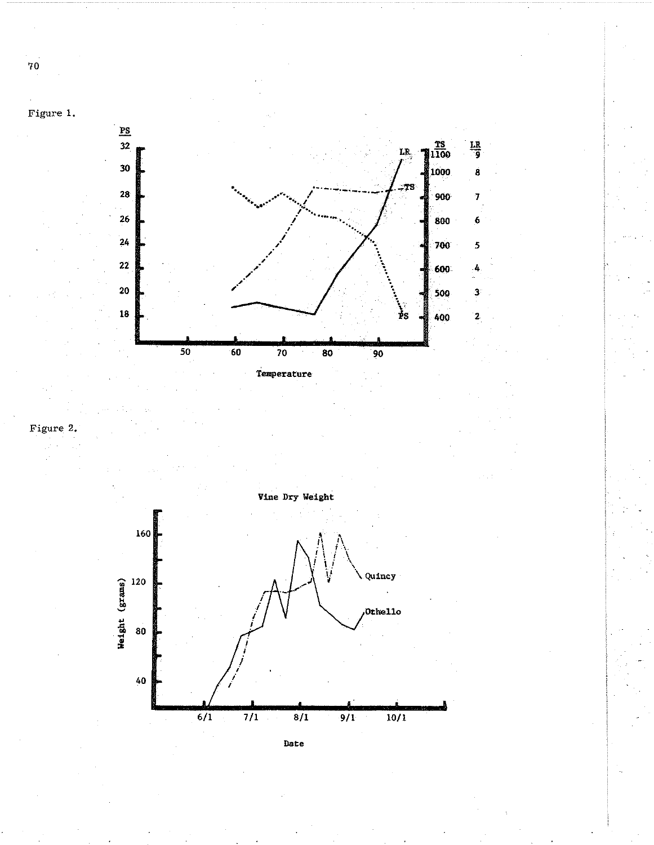

 $\frac{LR}{9}$ 

 $\dot{\mathbf{g}}$ 

 $\overline{1}$ 

 $\boldsymbol{6}$ 

 $\overline{\mathbf{5}}$ 

4

 $\overline{\mathbf{3}}$ 

 $\bar{\mathbf{Z}}$ 





**Date** 

 $70\,$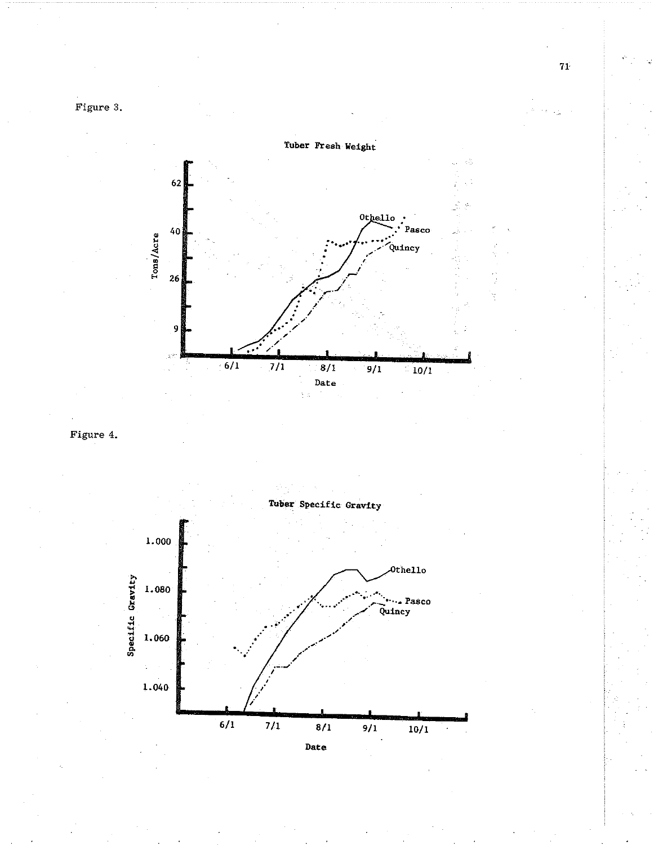Figure 3.



Figure 4.



Date

 $\mathbf{74}$